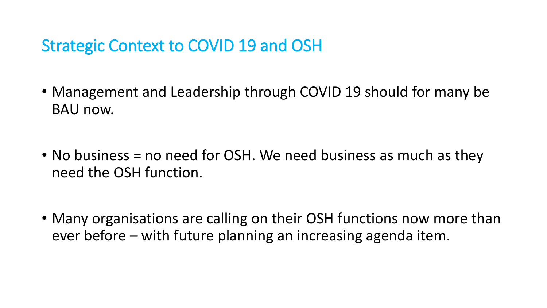## Strategic Context to COVID 19 and OSH

- Management and Leadership through COVID 19 should for many be BAU now.
- No business = no need for OSH. We need business as much as they need the OSH function.
- Many organisations are calling on their OSH functions now more than ever before – with future planning an increasing agenda item.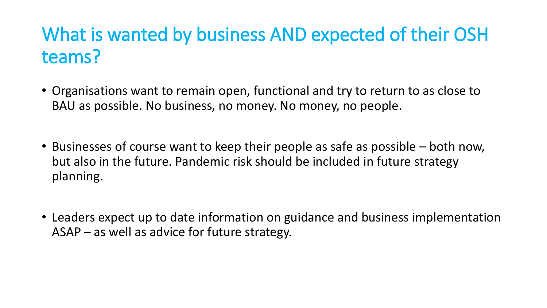## What is wanted by business AND expected of their OSH teams?

- Organisations want to remain open, functional and try to return to as close to BAU as possible. No business, no money. No money, no people.
- Businesses of course want to keep their people as safe as possible both now, but also in the future. Pandemic risk should be included in future strategy planning.
- Leaders expect up to date information on guidance and business implementation ASAP – as well as advice for future strategy.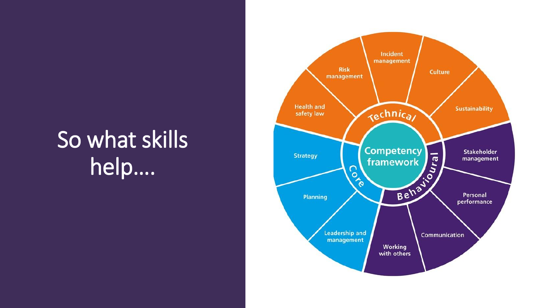## So what skills help….

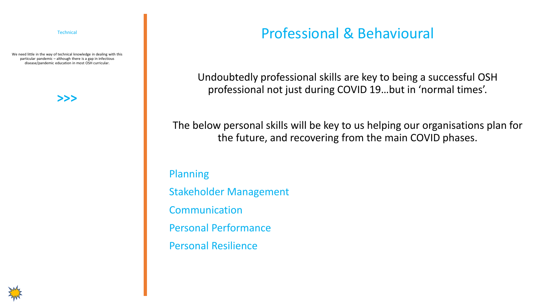**Technical** 

We need little in the way of technical knowledge in dealing with this particular pandemic – although there is a gap in infectious disease/pandemic education in most OSH curricular.

**>>>**

## Professional & Behavioural

Undoubtedly professional skills are key to being a successful OSH professional not just during COVID 19…but in 'normal times'.

The below personal skills will be key to us helping our organisations plan for the future, and recovering from the main COVID phases.

Planning Stakeholder Management Communication Personal Performance Personal Resilience